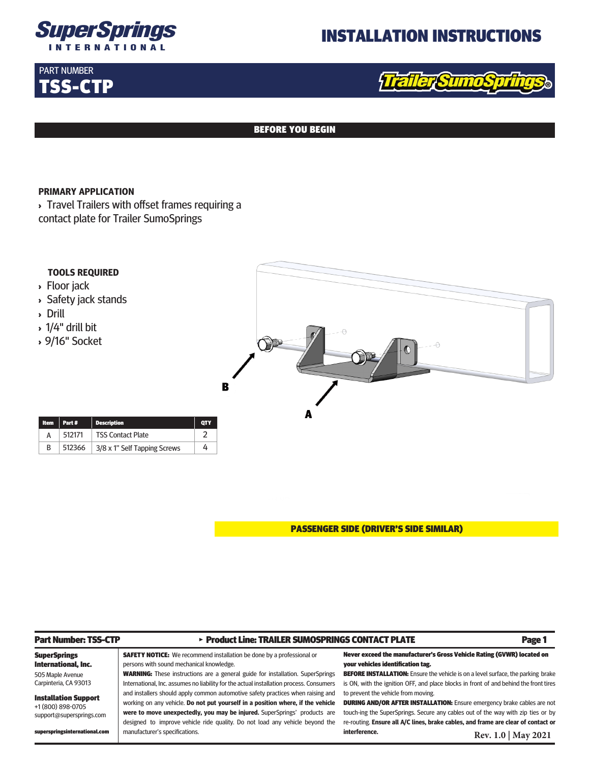

## INSTALLATION INSTRUCTIONS

## PART NUMBER TSS-CTP

# aller Sumos

#### BEFORE YOU BEGIN

#### **PRIMARY APPLICATION**

superspringsinternational.com

manufacturer's specifications.

> Travel Trailers with offset frames requiring a contact plate for Trailer SumoSprings



PASSENGER SIDE (DRIVER'S SIDE SIMILAR)

**interference.** 

| <b>Part Number: TSS-CTP</b> | > Product Line: TRAILER SUMOSPRINGS CONTACT PLATE                                       | Page 1                                                                                  |
|-----------------------------|-----------------------------------------------------------------------------------------|-----------------------------------------------------------------------------------------|
| <b>SuperSprings</b>         | <b>SAFETY NOTICE:</b> We recommend installation be done by a professional or            | Never exceed the manufacturer's Gross Vehicle Rating (GVWR) located on                  |
| International, Inc.         | persons with sound mechanical knowledge.                                                | your vehicles identification tag.                                                       |
| 505 Maple Avenue            | <b>WARNING:</b> These instructions are a general guide for installation. SuperSprings   | <b>BEFORE INSTALLATION:</b> Ensure the vehicle is on a level surface, the parking brake |
| Carpinteria, CA 93013       | International, Inc. assumes no liability for the actual installation process. Consumers | is ON, with the ignition OFF, and place blocks in front of and behind the front tires   |
| <b>Installation Support</b> | and installers should apply common automotive safety practices when raising and         | to prevent the vehicle from moving.                                                     |
| +1 (800) 898-0705           | working on any vehicle. Do not put yourself in a position where, if the vehicle         | <b>DURING AND/OR AFTER INSTALLATION:</b> Ensure emergency brake cables are not          |
| support@supersprings.com    | were to move unexpectedly, you may be injured. SuperSprings' products are               | touch-ing the SuperSprings. Secure any cables out of the way with zip ties or by        |
|                             | designed to improve vehicle ride quality. Do not load any vehicle beyond the            | re-routing. Ensure all A/C lines, brake cables, and frame are clear of contact or       |